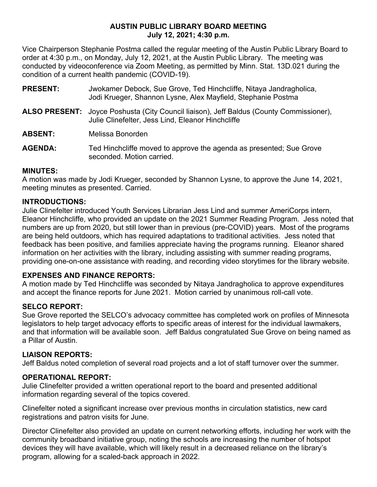### **AUSTIN PUBLIC LIBRARY BOARD MEETING July 12, 2021; 4:30 p.m.**

Vice Chairperson Stephanie Postma called the regular meeting of the Austin Public Library Board to order at 4:30 p.m., on Monday, July 12, 2021, at the Austin Public Library. The meeting was conducted by videoconference via Zoom Meeting, as permitted by Minn. Stat. 13D.021 during the condition of a current health pandemic (COVID-19).

- **PRESENT:** Jwokamer Debock, Sue Grove, Ted Hinchcliffe, Nitaya Jandragholica, Jodi Krueger, Shannon Lysne, Alex Mayfield, Stephanie Postma
- **ALSO PRESENT:** Joyce Poshusta (City Council liaison), Jeff Baldus (County Commissioner), Julie Clinefelter, Jess Lind, Eleanor Hinchcliffe

**ABSENT:** Melissa Bonorden

**AGENDA:** Ted Hinchcliffe moved to approve the agenda as presented; Sue Grove seconded. Motion carried.

# **MINUTES:**

A motion was made by Jodi Krueger, seconded by Shannon Lysne, to approve the June 14, 2021, meeting minutes as presented. Carried.

# **INTRODUCTIONS:**

Julie Clinefelter introduced Youth Services Librarian Jess Lind and summer AmeriCorps intern, Eleanor Hinchcliffe, who provided an update on the 2021 Summer Reading Program. Jess noted that numbers are up from 2020, but still lower than in previous (pre-COVID) years. Most of the programs are being held outdoors, which has required adaptations to traditional activities. Jess noted that feedback has been positive, and families appreciate having the programs running. Eleanor shared information on her activities with the library, including assisting with summer reading programs, providing one-on-one assistance with reading, and recording video storytimes for the library website.

# **EXPENSES AND FINANCE REPORTS:**

A motion made by Ted Hinchcliffe was seconded by Nitaya Jandragholica to approve expenditures and accept the finance reports for June 2021. Motion carried by unanimous roll-call vote.

# **SELCO REPORT:**

Sue Grove reported the SELCO's advocacy committee has completed work on profiles of Minnesota legislators to help target advocacy efforts to specific areas of interest for the individual lawmakers, and that information will be available soon. Jeff Baldus congratulated Sue Grove on being named as a Pillar of Austin.

### **LIAISON REPORTS:**

Jeff Baldus noted completion of several road projects and a lot of staff turnover over the summer.

### **OPERATIONAL REPORT:**

Julie Clinefelter provided a written operational report to the board and presented additional information regarding several of the topics covered.

Clinefelter noted a significant increase over previous months in circulation statistics, new card registrations and patron visits for June.

Director Clinefelter also provided an update on current networking efforts, including her work with the community broadband initiative group, noting the schools are increasing the number of hotspot devices they will have available, which will likely result in a decreased reliance on the library's program, allowing for a scaled-back approach in 2022.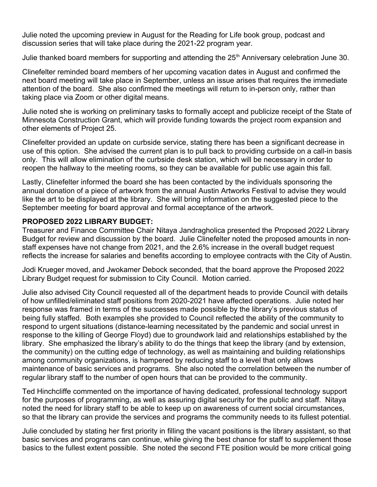Julie noted the upcoming preview in August for the Reading for Life book group, podcast and discussion series that will take place during the 2021-22 program year.

Julie thanked board members for supporting and attending the 25<sup>th</sup> Anniversary celebration June 30.

Clinefelter reminded board members of her upcoming vacation dates in August and confirmed the next board meeting will take place in September, unless an issue arises that requires the immediate attention of the board. She also confirmed the meetings will return to in-person only, rather than taking place via Zoom or other digital means.

Julie noted she is working on preliminary tasks to formally accept and publicize receipt of the State of Minnesota Construction Grant, which will provide funding towards the project room expansion and other elements of Project 25.

Clinefelter provided an update on curbside service, stating there has been a significant decrease in use of this option. She advised the current plan is to pull back to providing curbside on a call-in basis only. This will allow elimination of the curbside desk station, which will be necessary in order to reopen the hallway to the meeting rooms, so they can be available for public use again this fall.

Lastly, Clinefelter informed the board she has been contacted by the individuals sponsoring the annual donation of a piece of artwork from the annual Austin Artworks Festival to advise they would like the art to be displayed at the library. She will bring information on the suggested piece to the September meeting for board approval and formal acceptance of the artwork.

### **PROPOSED 2022 LIBRARY BUDGET:**

Treasurer and Finance Committee Chair Nitaya Jandragholica presented the Proposed 2022 Library Budget for review and discussion by the board. Julie Clinefelter noted the proposed amounts in nonstaff expenses have not change from 2021, and the 2.6% increase in the overall budget request reflects the increase for salaries and benefits according to employee contracts with the City of Austin.

Jodi Krueger moved, and Jwokamer Debock seconded, that the board approve the Proposed 2022 Library Budget request for submission to City Council. Motion carried.

Julie also advised City Council requested all of the department heads to provide Council with details of how unfilled/eliminated staff positions from 2020-2021 have affected operations. Julie noted her response was framed in terms of the successes made possible by the library's previous status of being fully staffed. Both examples she provided to Council reflected the ability of the community to respond to urgent situations (distance-learning necessitated by the pandemic and social unrest in response to the killing of George Floyd) due to groundwork laid and relationships established by the library. She emphasized the library's ability to do the things that keep the library (and by extension, the community) on the cutting edge of technology, as well as maintaining and building relationships among community organizations, is hampered by reducing staff to a level that only allows maintenance of basic services and programs. She also noted the correlation between the number of regular library staff to the number of open hours that can be provided to the community.

Ted Hinchcliffe commented on the importance of having dedicated, professional technology support for the purposes of programming, as well as assuring digital security for the public and staff. Nitaya noted the need for library staff to be able to keep up on awareness of current social circumstances, so that the library can provide the services and programs the community needs to its fullest potential.

Julie concluded by stating her first priority in filling the vacant positions is the library assistant, so that basic services and programs can continue, while giving the best chance for staff to supplement those basics to the fullest extent possible. She noted the second FTE position would be more critical going